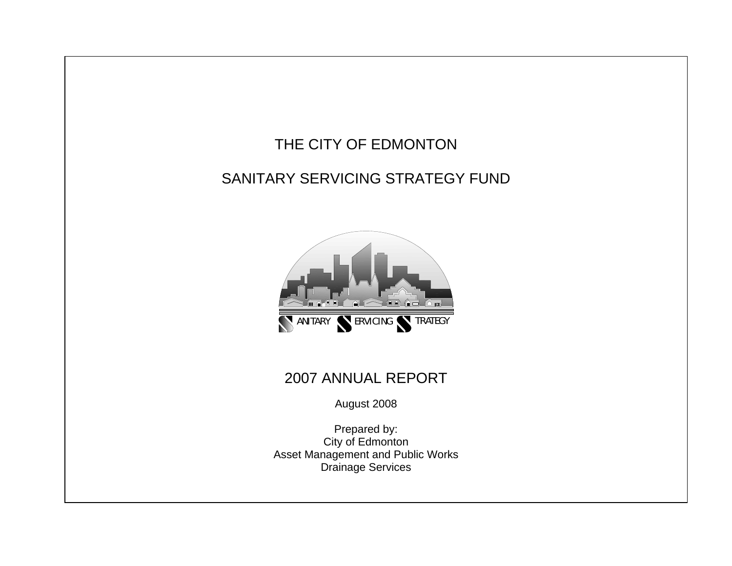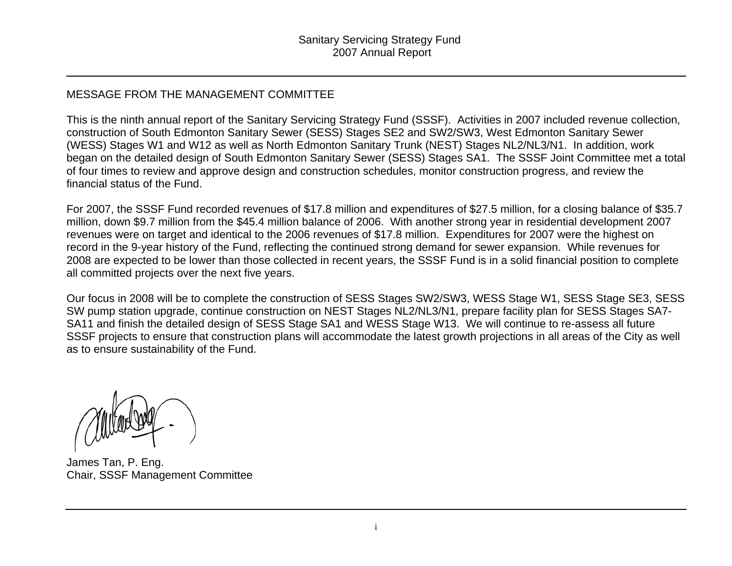#### MESSAGE FROM THE MANAGEMENT COMMITTEE

This is the ninth annual report of the Sanitary Servicing Strategy Fund (SSSF). Activities in 2007 included revenue collection, construction of South Edmonton Sanitary Sewer (SESS) Stages SE2 and SW2/SW3, West Edmonton Sanitary Sewer (WESS) Stages W1 and W12 as well as North Edmonton Sanitary Trunk (NEST) Stages NL2/NL3/N1. In addition, work began on the detailed design of South Edmonton Sanitary Sewer (SESS) Stages SA1. The SSSF Joint Committee met a total of four times to review and approve design and construction schedules, monitor construction progress, and review the financial status of the Fund.

For 2007, the SSSF Fund recorded revenues of \$17.8 million and expenditures of \$27.5 million, for a closing balance of \$35.7 million, down \$9.7 million from the \$45.4 million balance of 2006. With another strong year in residential development 2007 revenues were on target and identical to the 2006 revenues of \$17.8 million. Expenditures for 2007 were the highest on record in the 9-year history of the Fund, reflecting the continued strong demand for sewer expansion. While revenues for 2008 are expected to be lower than those collected in recent years, the SSSF Fund is in a solid financial position to complete all committed projects over the next five years.

Our focus in 2008 will be to complete the construction of SESS Stages SW2/SW3, WESS Stage W1, SESS Stage SE3, SESS SW pump station upgrade, continue construction on NEST Stages NL2/NL3/N1, prepare facility plan for SESS Stages SA7- SA11 and finish the detailed design of SESS Stage SA1 and WESS Stage W13. We will continue to re-assess all future SSSF projects to ensure that construction plans will accommodate the latest growth projections in all areas of the City as well as to ensure sustainability of the Fund.

James Tan, P. Eng. Chair, SSSF Management Committee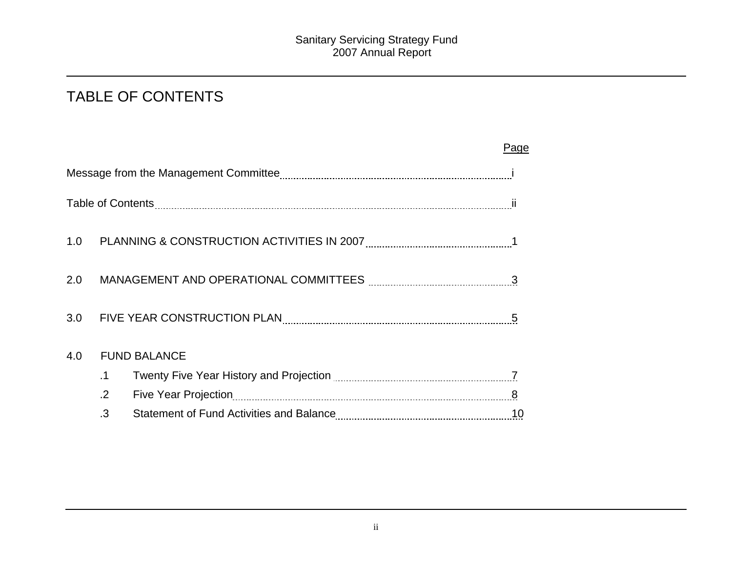## TABLE OF CONTENTS

|     |            |                     | Page |
|-----|------------|---------------------|------|
|     |            |                     |      |
|     |            |                     |      |
| 1.0 |            |                     |      |
| 2.0 |            |                     |      |
|     |            |                     |      |
| 4.0 |            | <b>FUND BALANCE</b> |      |
|     | $\cdot$ 1  |                     |      |
|     | $\cdot$ .2 |                     |      |
|     | .3         |                     |      |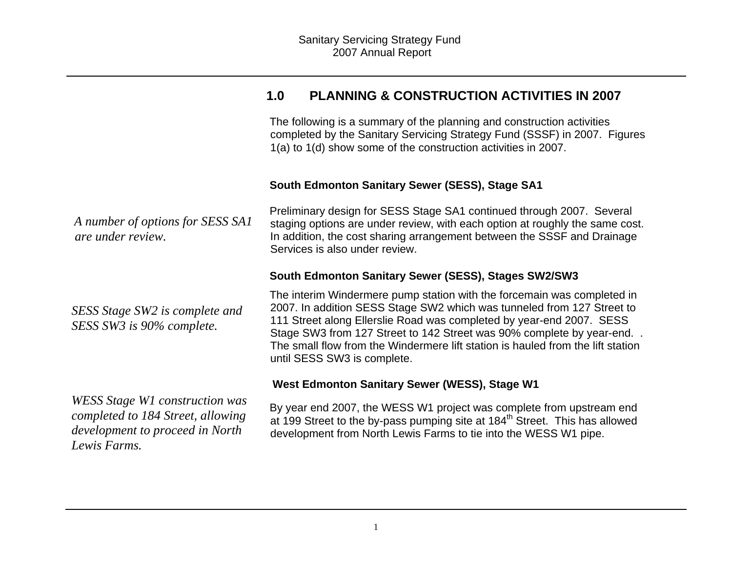|                                                                                                                               | 1.0<br><b>PLANNING &amp; CONSTRUCTION ACTIVITIES IN 2007</b>                                                                                                                                                                                                                                                                                                                                                        |
|-------------------------------------------------------------------------------------------------------------------------------|---------------------------------------------------------------------------------------------------------------------------------------------------------------------------------------------------------------------------------------------------------------------------------------------------------------------------------------------------------------------------------------------------------------------|
|                                                                                                                               | The following is a summary of the planning and construction activities<br>completed by the Sanitary Servicing Strategy Fund (SSSF) in 2007. Figures<br>1(a) to 1(d) show some of the construction activities in 2007.                                                                                                                                                                                               |
|                                                                                                                               | South Edmonton Sanitary Sewer (SESS), Stage SA1                                                                                                                                                                                                                                                                                                                                                                     |
| A number of options for SESS SA1<br>are under review.                                                                         | Preliminary design for SESS Stage SA1 continued through 2007. Several<br>staging options are under review, with each option at roughly the same cost.<br>In addition, the cost sharing arrangement between the SSSF and Drainage<br>Services is also under review.                                                                                                                                                  |
|                                                                                                                               | South Edmonton Sanitary Sewer (SESS), Stages SW2/SW3                                                                                                                                                                                                                                                                                                                                                                |
| SESS Stage SW2 is complete and<br>SESS SW3 is 90% complete.                                                                   | The interim Windermere pump station with the forcemain was completed in<br>2007. In addition SESS Stage SW2 which was tunneled from 127 Street to<br>111 Street along Ellerslie Road was completed by year-end 2007. SESS<br>Stage SW3 from 127 Street to 142 Street was 90% complete by year-end<br>The small flow from the Windermere lift station is hauled from the lift station<br>until SESS SW3 is complete. |
|                                                                                                                               | West Edmonton Sanitary Sewer (WESS), Stage W1                                                                                                                                                                                                                                                                                                                                                                       |
| <b>WESS Stage W1 construction was</b><br>completed to 184 Street, allowing<br>development to proceed in North<br>Lewis Farms. | By year end 2007, the WESS W1 project was complete from upstream end<br>at 199 Street to the by-pass pumping site at 184 <sup>th</sup> Street. This has allowed<br>development from North Lewis Farms to tie into the WESS W1 pipe.                                                                                                                                                                                 |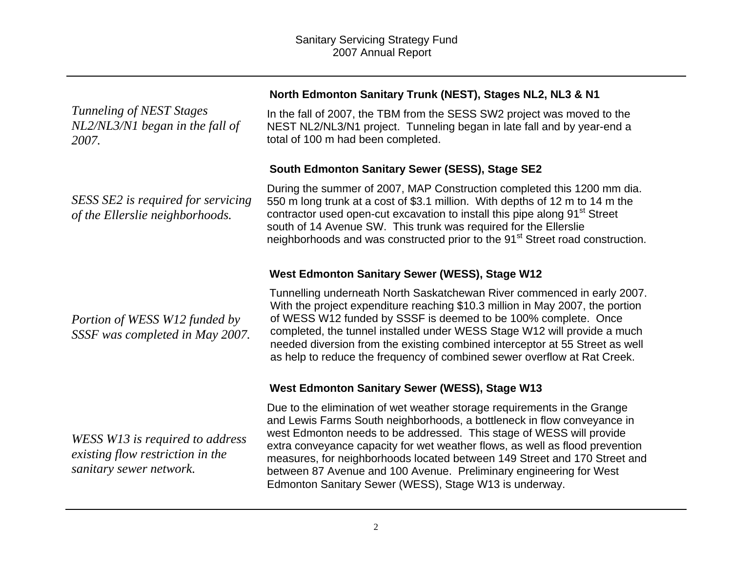| Tunneling of NEST Stages        |
|---------------------------------|
| NL2/NL3/N1 began in the fall of |
| 2007.                           |

*SESS SE2 is required for servicing of the Ellerslie neighborhoods.* 

*Portion of WESS W12 funded by SSSF was completed in May 2007.* 

*WESS W13 is required to address existing flow restriction in the sanitary sewer network.* 

#### **North Edmonton Sanitary Trunk (NEST), Stages NL2, NL3 & N1**

In the fall of 2007, the TBM from the SESS SW2 project was moved to the NEST NL2/NL3/N1 project. Tunneling began in late fall and by year-end a total of 100 m had been completed.

#### **South Edmonton Sanitary Sewer (SESS), Stage SE2**

During the summer of 2007, MAP Construction completed this 1200 mm dia. 550 m long trunk at a cost of \$3.1 million. With depths of 12 m to 14 m the contractor used open-cut excavation to install this pipe along 91<sup>st</sup> Street south of 14 Avenue SW. This trunk was required for the Ellerslie neighborhoods and was constructed prior to the 91<sup>st</sup> Street road construction.

#### **West Edmonton Sanitary Sewer (WESS), Stage W12**

Tunnelling underneath North Saskatchewan River commenced in early 2007. With the project expenditure reaching \$10.3 million in May 2007, the portion of WESS W12 funded by SSSF is deemed to be 100% complete. Once completed, the tunnel installed under WESS Stage W12 will provide a much needed diversion from the existing combined interceptor at 55 Street as well as help to reduce the frequency of combined sewer overflow at Rat Creek.

### **West Edmonton Sanitary Sewer (WESS), Stage W13**

Due to the elimination of wet weather storage requirements in the Grange and Lewis Farms South neighborhoods, a bottleneck in flow conveyance in west Edmonton needs to be addressed. This stage of WESS will provide extra conveyance capacity for wet weather flows, as well as flood prevention measures, for neighborhoods located between 149 Street and 170 Street and between 87 Avenue and 100 Avenue. Preliminary engineering for West Edmonton Sanitary Sewer (WESS), Stage W13 is underway.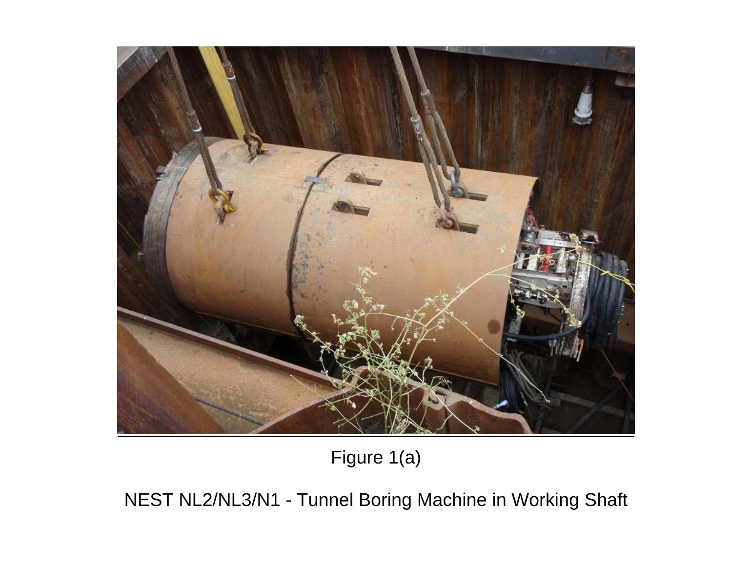

Figure 1(a)

NEST NL2/NL3/N1 - Tunnel Boring Machine in Working Shaft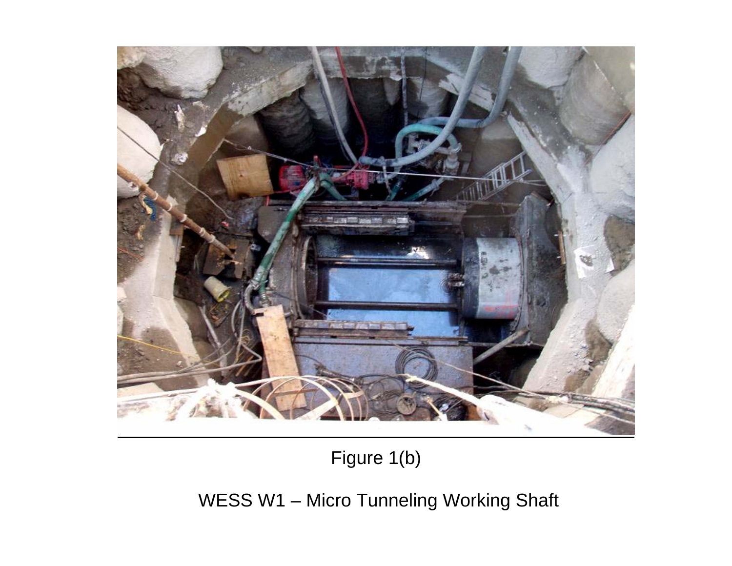

Figure 1(b)

# WESS W1 – Micro Tunneling Working Shaft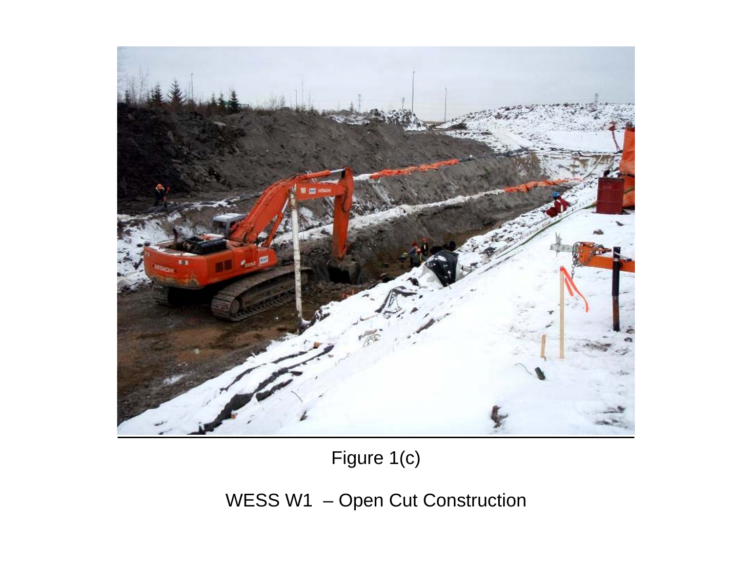

Figure 1(c)

WESS W1 - Open Cut Construction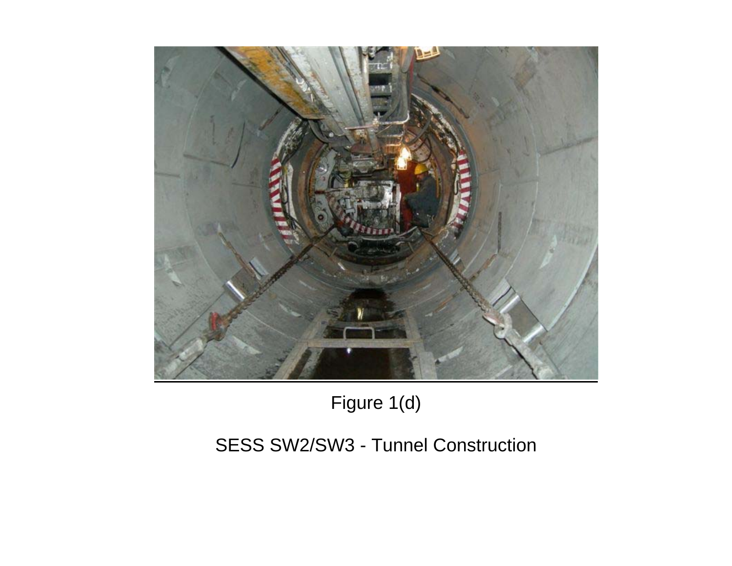

Figure 1(d)

## SESS SW2/SW3 - Tunnel Construction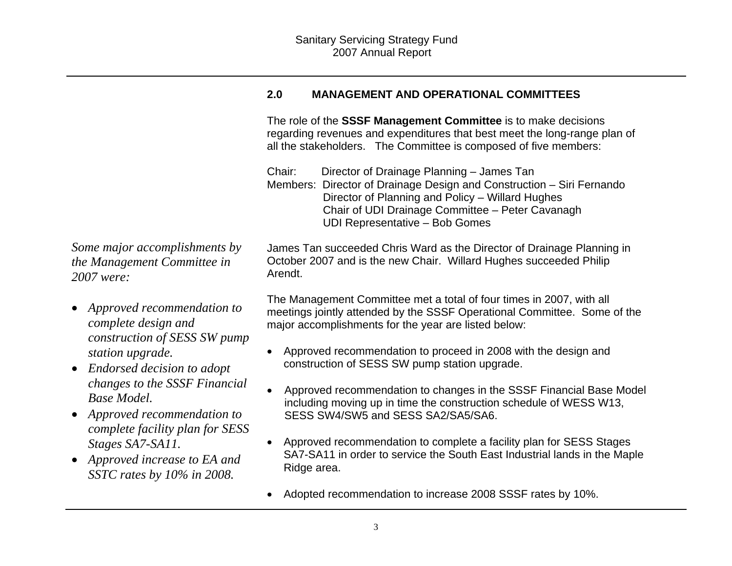### **2.0 MANAGEMENT AND OPERATIONAL COMMITTEES**

The role of the **SSSF Management Committee** is to make decisions regarding revenues and expenditures that best meet the long-range plan of all the stakeholders. The Committee is composed of five members:

Chair: Director of Drainage Planning – James Tan Members: Director of Drainage Design and Construction – Siri Fernando Director of Planning and Policy – Willard Hughes Chair of UDI Drainage Committee – Peter Cavanagh UDI Representative – Bob Gomes

*Some major accomplishments by the Management Committee in 2007 were:* 

- *Approved recommendation to complete design and construction of SESS SW pump station upgrade.*
- *Endorsed decision to adopt changes to the SSSF Financial Base Model.*
- *Approved recommendation to complete facility plan for SESS Stages SA7-SA11.*
- *Approved increase to EA and SSTC rates by 10% in 2008.*

James Tan succeeded Chris Ward as the Director of Drainage Planning in October 2007 and is the new Chair. Willard Hughes succeeded Philip Arendt.

The Management Committee met a total of four times in 2007, with all meetings jointly attended by the SSSF Operational Committee. Some of the major accomplishments for the year are listed below:

- Approved recommendation to proceed in 2008 with the design and construction of SESS SW pump station upgrade.
- Approved recommendation to changes in the SSSF Financial Base Model including moving up in time the construction schedule of WESS W13, SESS SW4/SW5 and SESS SA2/SA5/SA6.
- Approved recommendation to complete a facility plan for SESS Stages SA7-SA11 in order to service the South East Industrial lands in the Maple Ridge area.
- Adopted recommendation to increase 2008 SSSF rates by 10%.

3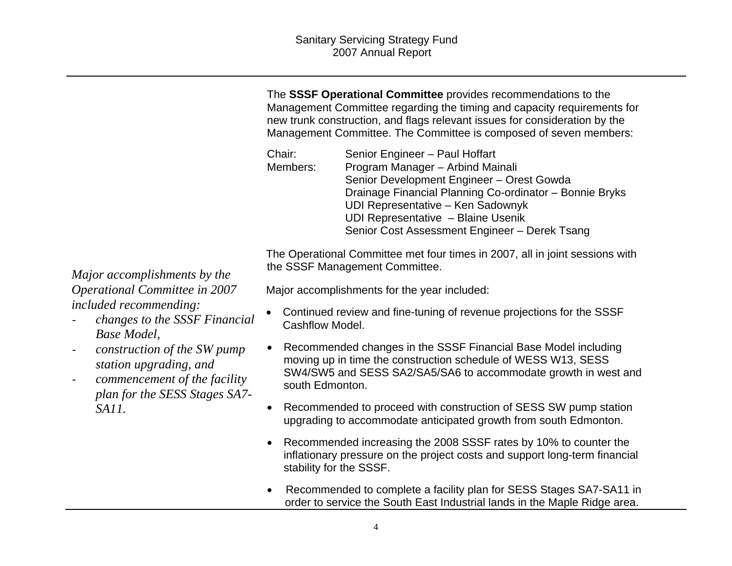The **SSSF Operational Committee** provides recommendations to the Management Committee regarding the timing and capacity requirements for new trunk construction, and flags relevant issues for consideration by the Management Committee. The Committee is composed of seven members:

| Chair:   | Senior Engineer - Paul Hoffart                          |
|----------|---------------------------------------------------------|
| Members: | Program Manager - Arbind Mainali                        |
|          | Senior Development Engineer - Orest Gowda               |
|          | Drainage Financial Planning Co-ordinator - Bonnie Bryks |
|          | UDI Representative – Ken Sadownyk                       |
|          | UDI Representative - Blaine Usenik                      |
|          | Senior Cost Assessment Engineer - Derek Tsang           |

The Operational Committee met four times in 2007, all in joint sessions with the SSSF Management Committee.

*Major accomplishments by the Operational Committee in 2007 included recommending:* 

- *changes to the SSSF Financial Base Model,*
- *construction of the SW pump station upgrading, and*
- $\overline{\phantom{0}}$  *commencement of the facility plan for the SESS Stages SA7- SA11.*

Major accomplishments for the year included:

- Continued review and fine-tuning of revenue projections for the SSSF Cashflow Model.
- Recommended changes in the SSSF Financial Base Model including moving up in time the construction schedule of WESS W13, SESS SW4/SW5 and SESS SA2/SA5/SA6 to accommodate growth in west and south Edmonton.
- Recommended to proceed with construction of SESS SW pump station upgrading to accommodate anticipated growth from south Edmonton.
- Recommended increasing the 2008 SSSF rates by 10% to counter the inflationary pressure on the project costs and support long-term financial stability for the SSSF.
- Recommended to complete a facility plan for SESS Stages SA7-SA11 in order to service the South East Industrial lands in the Maple Ridge area.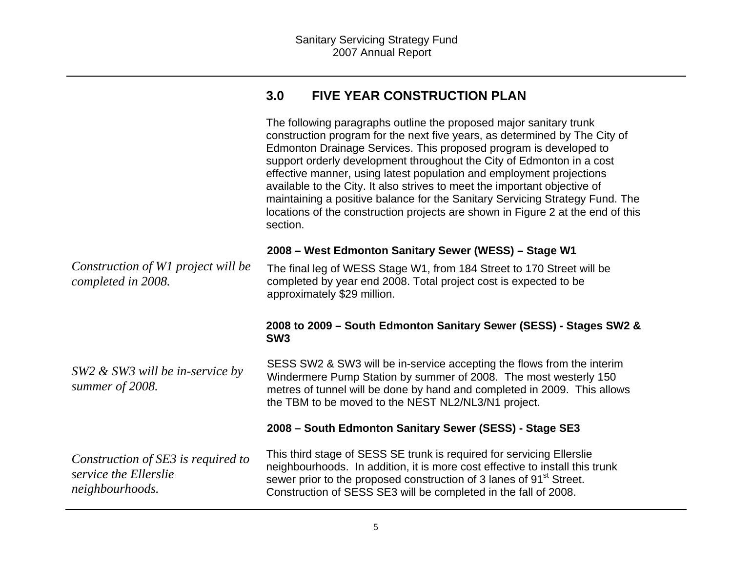### **3.0 FIVE YEAR CONSTRUCTION PLAN**

The following paragraphs outline the proposed major sanitary trunk construction program for the next five years, as determined by The City of Edmonton Drainage Services. This proposed program is developed to support orderly development throughout the City of Edmonton in a cost effective manner, using latest population and employment projections available to the City. It also strives to meet the important objective of maintaining a positive balance for the Sanitary Servicing Strategy Fund. The locations of the construction projects are shown in Figure 2 at the end of this section. *Construction of W1 project will be completed in 2008.* **2008 – West Edmonton Sanitary Sewer (WESS) – Stage W1**  The final leg of WESS Stage W1, from 184 Street to 170 Street will be completed by year end 2008. Total project cost is expected to be approximately \$29 million. *SW2 & SW3 will be in-service by summer of 2008.*  **2008 to 2009 – South Edmonton Sanitary Sewer (SESS) - Stages SW2 & SW3** SESS SW2 & SW3 will be in-service accepting the flows from the interim Windermere Pump Station by summer of 2008. The most westerly 150 metres of tunnel will be done by hand and completed in 2009. This allows the TBM to be moved to the NEST NL2/NL3/N1 project. *Construction of SE3 is required to service the Ellerslie neighbourhoods.*  **2008 – South Edmonton Sanitary Sewer (SESS) - Stage SE3**  This third stage of SESS SE trunk is required for servicing Ellerslie neighbourhoods. In addition, it is more cost effective to install this trunk sewer prior to the proposed construction of 3 lanes of 91<sup>st</sup> Street. Construction of SESS SE3 will be completed in the fall of 2008.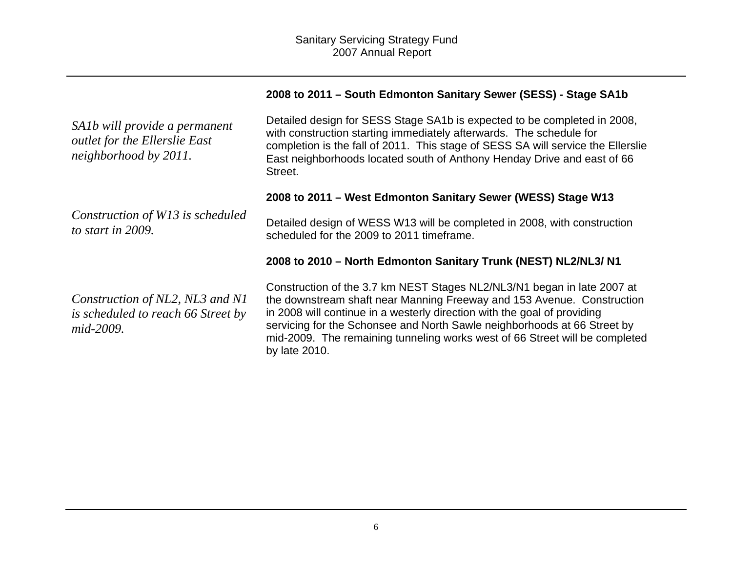| 2008 to 2011 – South Edmonton Sanitary Sewer (SESS) - Stage SA1b |  |  |  |
|------------------------------------------------------------------|--|--|--|
|------------------------------------------------------------------|--|--|--|

| SA1b will provide a permanent<br>outlet for the Ellerslie East<br>neighborhood by 2011. | Detailed design for SESS Stage SA1b is expected to be completed in 2008,<br>with construction starting immediately afterwards. The schedule for<br>completion is the fall of 2011. This stage of SESS SA will service the Ellerslie<br>East neighborhoods located south of Anthony Henday Drive and east of 66<br>Street.                                                                                 |  |  |  |  |  |
|-----------------------------------------------------------------------------------------|-----------------------------------------------------------------------------------------------------------------------------------------------------------------------------------------------------------------------------------------------------------------------------------------------------------------------------------------------------------------------------------------------------------|--|--|--|--|--|
|                                                                                         | 2008 to 2011 – West Edmonton Sanitary Sewer (WESS) Stage W13                                                                                                                                                                                                                                                                                                                                              |  |  |  |  |  |
| Construction of W13 is scheduled<br>to start in 2009.                                   | Detailed design of WESS W13 will be completed in 2008, with construction<br>scheduled for the 2009 to 2011 timeframe.                                                                                                                                                                                                                                                                                     |  |  |  |  |  |
|                                                                                         | 2008 to 2010 - North Edmonton Sanitary Trunk (NEST) NL2/NL3/ N1                                                                                                                                                                                                                                                                                                                                           |  |  |  |  |  |
| Construction of NL2, NL3 and N1<br>is scheduled to reach 66 Street by<br>mid-2009.      | Construction of the 3.7 km NEST Stages NL2/NL3/N1 began in late 2007 at<br>the downstream shaft near Manning Freeway and 153 Avenue. Construction<br>in 2008 will continue in a westerly direction with the goal of providing<br>servicing for the Schonsee and North Sawle neighborhoods at 66 Street by<br>mid-2009. The remaining tunneling works west of 66 Street will be completed<br>by late 2010. |  |  |  |  |  |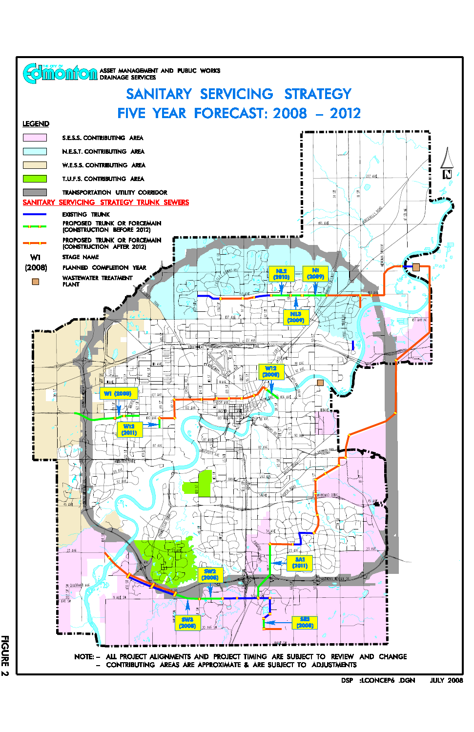

**JULY 2008** DSP :LCONCEP6 .DGN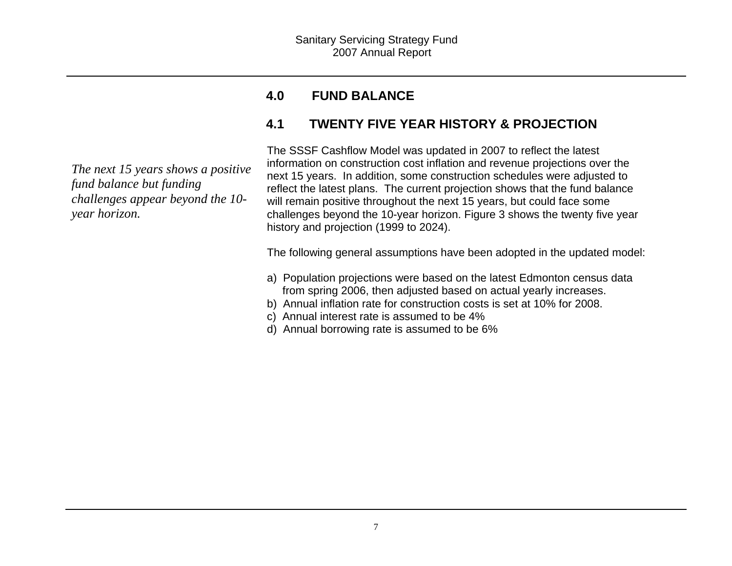#### **4.0FUND BALANCE**

### **4.1 TWENTY FIVE YEAR HISTORY & PROJECTION**

The SSSF Cashflow Model was updated in 2007 to reflect the latest information on construction cost inflation and revenue projections over the next 15 years. In addition, some construction schedules were adjusted to reflect the latest plans. The current projection shows that the fund balance will remain positive throughout the next 15 years, but could face some challenges beyond the 10-year horizon. Figure 3 shows the twenty five year history and projection (1999 to 2024).

The following general assumptions have been adopted in the updated model:

- a) Population projections were based on the latest Edmonton census data from spring 2006, then adjusted based on actual yearly increases.
- b) Annual inflation rate for construction costs is set at 10% for 2008.
- c) Annual interest rate is assumed to be 4%
- d) Annual borrowing rate is assumed to be 6%

*The next 15 years shows a positive fund balance but funding challenges appear beyond the 10 year horizon.*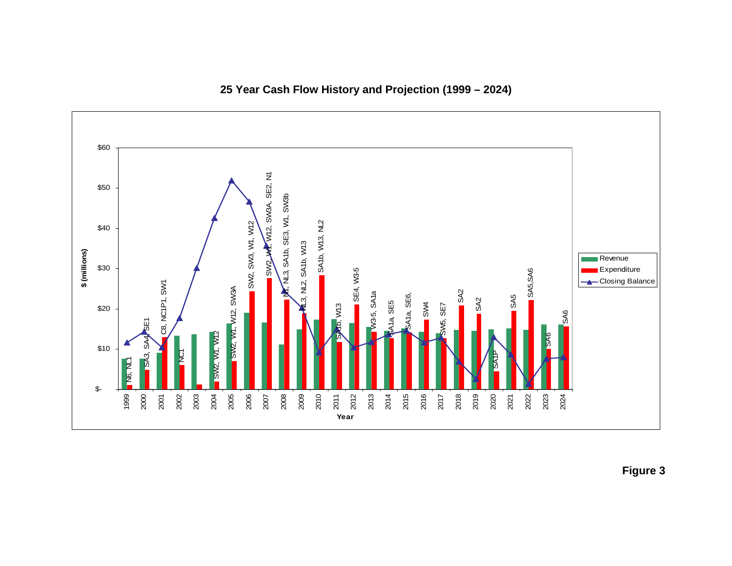

**25 Year Cash Flow History and Projection (1999 – 2024)** 

**Figure 3**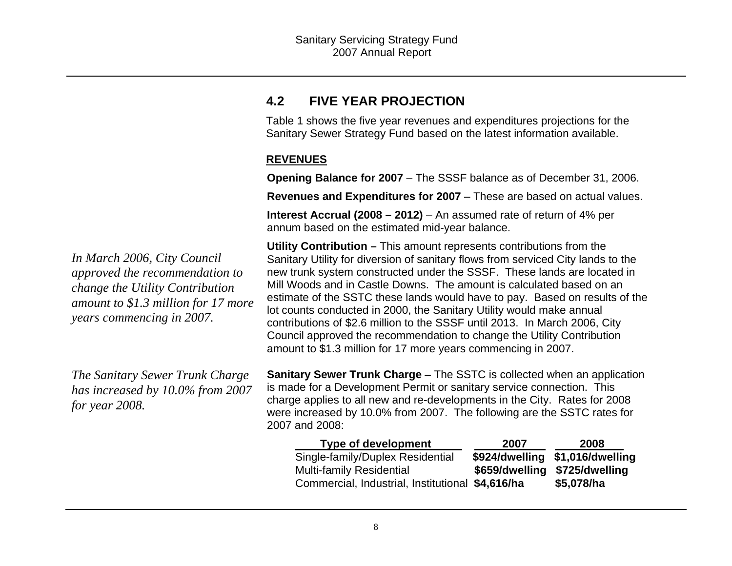### **4.2 FIVE YEAR PROJECTION**

Table 1 shows the five year revenues and expenditures projections for the Sanitary Sewer Strategy Fund based on the latest information available.

### **REVENUES**

**Opening Balance for 2007** – The SSSF balance as of December 31, 2006.

**Revenues and Expenditures for 2007** – These are based on actual values.

**Interest Accrual (2008 – 2012)** – An assumed rate of return of 4% per annum based on the estimated mid-year balance.

**Utility Contribution –** This amount represents contributions from the Sanitary Utility for diversion of sanitary flows from serviced City lands to the new trunk system constructed under the SSSF. These lands are located in Mill Woods and in Castle Downs. The amount is calculated based on an estimate of the SSTC these lands would have to pay. Based on results of the lot counts conducted in 2000, the Sanitary Utility would make annual contributions of \$2.6 million to the SSSF until 2013. In March 2006, City Council approved the recommendation to change the Utility Contribution amount to \$1.3 million for 17 more years commencing in 2007.

**Sanitary Sewer Trunk Charge** – The SSTC is collected when an application is made for a Development Permit or sanitary service connection. This charge applies to all new and re-developments in the City. Rates for 2008 were increased by 10.0% from 2007. The following are the SSTC rates for 2007 and 2008:

| <b>Type of development</b>                       | 2007 | 2008                            |
|--------------------------------------------------|------|---------------------------------|
| Single-family/Duplex Residential                 |      | \$924/dwelling \$1,016/dwelling |
| <b>Multi-family Residential</b>                  |      | \$659/dwelling \$725/dwelling   |
| Commercial, Industrial, Institutional \$4,616/ha |      | \$5,078/ha                      |

*In March 2006, City Council approved the recommendation to change the Utility Contribution amount to \$1.3 million for 17 more years commencing in 2007.* 

*The Sanitary Sewer Trunk Charge has increased by 10.0% from 2007 for year 2008.*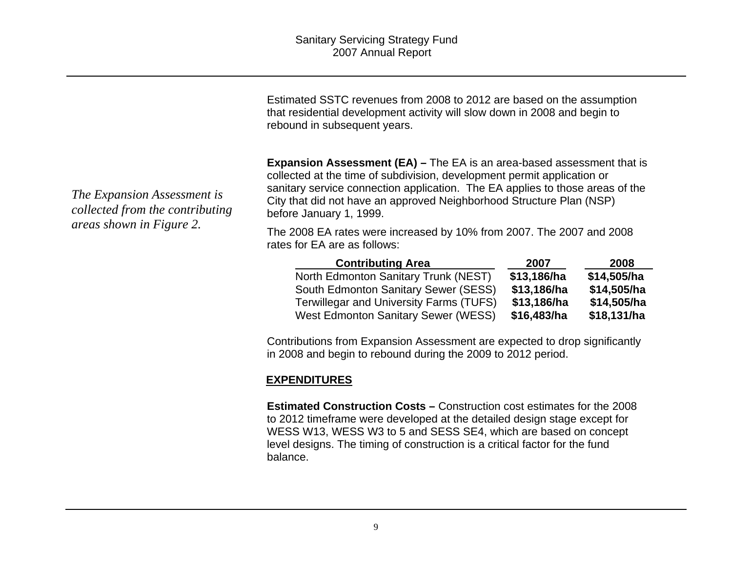Estimated SSTC revenues from 2008 to 2012 are based on the assumption that residential development activity will slow down in 2008 and begin to rebound in subsequent years.

**Expansion Assessment (EA) – The EA is an area-based assessment that is** collected at the time of subdivision, development permit application or sanitary service connection application. The EA applies to those areas of the City that did not have an approved Neighborhood Structure Plan (NSP) before January 1, 1999.

The 2008 EA rates were increased by 10% from 2007. The 2007 and 2008 rates for EA are as follows:

| <b>Contributing Area</b>                       | 2007        | 2008        |
|------------------------------------------------|-------------|-------------|
| North Edmonton Sanitary Trunk (NEST)           | \$13,186/ha | \$14,505/ha |
| South Edmonton Sanitary Sewer (SESS)           | \$13,186/ha | \$14,505/ha |
| <b>Terwillegar and University Farms (TUFS)</b> | \$13,186/ha | \$14,505/ha |
| West Edmonton Sanitary Sewer (WESS)            | \$16,483/ha | \$18,131/ha |

Contributions from Expansion Assessment are expected to drop significantly in 2008 and begin to rebound during the 2009 to 2012 period.

### **EXPENDITURES**

**Estimated Construction Costs –** Construction cost estimates for the 2008 to 2012 timeframe were developed at the detailed design stage except for WESS W13, WESS W3 to 5 and SESS SE4, which are based on concept level designs. The timing of construction is a critical factor for the fund balance.

*The Expansion Assessment is collected from the contributing areas shown in Figure 2.*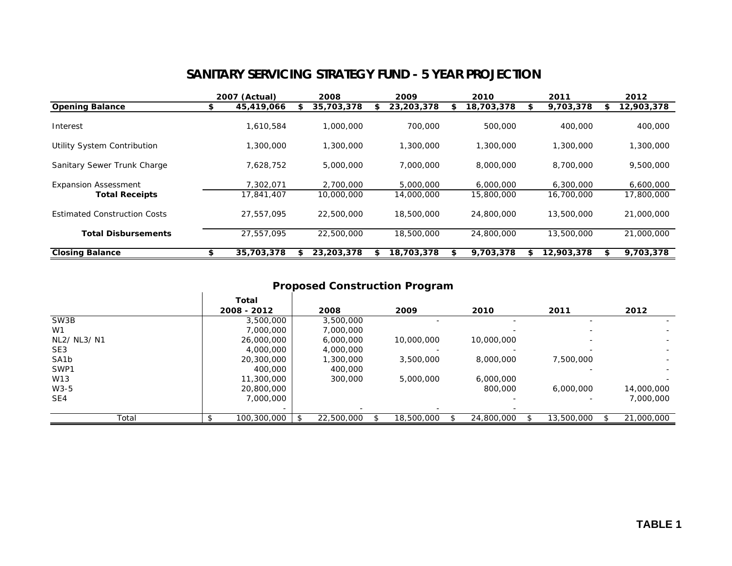### **SANITARY SERVICING STRATEGY FUND - 5 YEAR PROJECTION**

|                                                      | 2007 (Actual)           |    | 2008                    | 2009                    |   | 2010                    |    |                         | 2011 |                         | 2012 |  |
|------------------------------------------------------|-------------------------|----|-------------------------|-------------------------|---|-------------------------|----|-------------------------|------|-------------------------|------|--|
| <b>Opening Balance</b>                               | 45,419,066              | SS | 35,703,378              | 23,203,378              | S | 18,703,378              | \$ | 9,703,378               | \$   | 12,903,378              |      |  |
| Interest                                             | 1,610,584               |    | 1,000,000               | 700,000                 |   | 500,000                 |    | 400,000                 |      | 400,000                 |      |  |
| Utility System Contribution                          | 1,300,000               |    | 1,300,000               | 1,300,000               |   | 1,300,000               |    | 1,300,000               |      | 1,300,000               |      |  |
| Sanitary Sewer Trunk Charge                          | 7,628,752               |    | 5,000,000               | 7,000,000               |   | 8,000,000               |    | 8,700,000               |      | 9,500,000               |      |  |
| <b>Expansion Assessment</b><br><b>Total Receipts</b> | 7,302,071<br>17,841,407 |    | 2,700,000<br>10,000,000 | 5,000,000<br>14,000,000 |   | 6,000,000<br>15,800,000 |    | 6,300,000<br>16,700,000 |      | 6,600,000<br>17,800,000 |      |  |
| <b>Estimated Construction Costs</b>                  | 27.557.095              |    | 22,500,000              | 18,500,000              |   | 24,800,000              |    | 13,500,000              |      | 21,000,000              |      |  |
| <b>Total Disbursements</b>                           | 27,557,095              |    | 22,500,000              | 18,500,000              |   | 24,800,000              |    | 13,500,000              |      | 21,000,000              |      |  |
| <b>Closing Balance</b>                               | 35.703.378              |    | 23,203,378              | 18,703,378              |   | 9,703,378               | S  | 12,903,378              |      | 9,703,378               |      |  |

### **Proposed Construction Program**

|                   | Total       |            |            |            |            |            |
|-------------------|-------------|------------|------------|------------|------------|------------|
|                   | 2008 - 2012 | 2008       | 2009       | 2010       | 2011       | 2012       |
| SW3B              | 3,500,000   | 3,500,000  |            |            |            |            |
| W <sub>1</sub>    | 7,000,000   | 7,000,000  |            |            |            |            |
| NL2/ NL3/ N1      | 26,000,000  | 6,000,000  | 10,000,000 | 10,000,000 |            |            |
| SE <sub>3</sub>   | 4,000,000   | 4,000,000  |            |            |            |            |
| SA <sub>1</sub> b | 20,300,000  | 1,300,000  | 3,500,000  | 8,000,000  | 7,500,000  |            |
| SWP1              | 400,000     | 400,000    |            |            |            |            |
| W13               | 11,300,000  | 300,000    | 5,000,000  | 6,000,000  |            |            |
| $W3-5$            | 20,800,000  |            |            | 800,000    | 6,000,000  | 14,000,000 |
| SE4               | 7,000,000   |            |            |            |            | 7,000,000  |
|                   |             |            |            |            |            |            |
| Total             | 100,300,000 | 22,500,000 | 18,500,000 | 24,800,000 | 13,500,000 | 21,000,000 |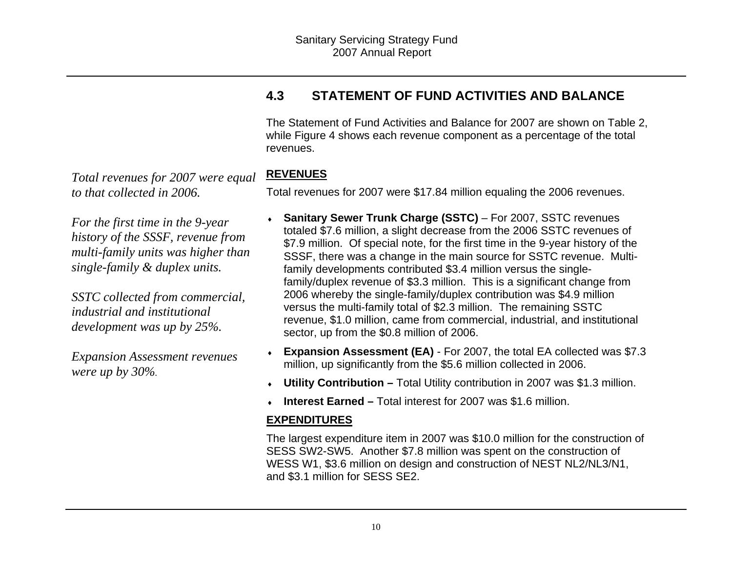### **4.3 STATEMENT OF FUND ACTIVITIES AND BALANCE**

The Statement of Fund Activities and Balance for 2007 are shown on Table 2, while Figure 4 shows each revenue component as a percentage of the total revenues.

### **REVENUES**

Total revenues for 2007 were \$17.84 million equaling the 2006 revenues.

*For the first time in the 9-year history of the SSSF, revenue from multi-family units was higher than single-family & duplex units.* 

*Total revenues for 2007 were equal* 

*to that collected in 2006.* 

*SSTC collected from commercial, industrial and institutional development was up by 25%.* 

*Expansion Assessment revenues were up by 30%.* 

- ♦ **Sanitary Sewer Trunk Charge (SSTC)** – For 2007, SSTC revenues totaled \$7.6 million, a slight decrease from the 2006 SSTC revenues of \$7.9 million. Of special note, for the first time in the 9-year history of the SSSF, there was a change in the main source for SSTC revenue. Multifamily developments contributed \$3.4 million versus the singlefamily/duplex revenue of \$3.3 million. This is a significant change from 2006 whereby the single-family/duplex contribution was \$4.9 million versus the multi-family total of \$2.3 million. The remaining SSTC revenue, \$1.0 million, came from commercial, industrial, and institutional sector, up from the \$0.8 million of 2006.
- ♦ **Expansion Assessment (EA)** - For 2007, the total EA collected was \$7.3 million, up significantly from the \$5.6 million collected in 2006.
- ♦**Utility Contribution –** Total Utility contribution in 2007 was \$1.3 million.
- ♦**Interest Earned –** Total interest for 2007 was \$1.6 million.

### **EXPENDITURES**

The largest expenditure item in 2007 was \$10.0 million for the construction of SESS SW2-SW5. Another \$7.8 million was spent on the construction of WESS W1, \$3.6 million on design and construction of NEST NL2/NL3/N1, and \$3.1 million for SESS SE2.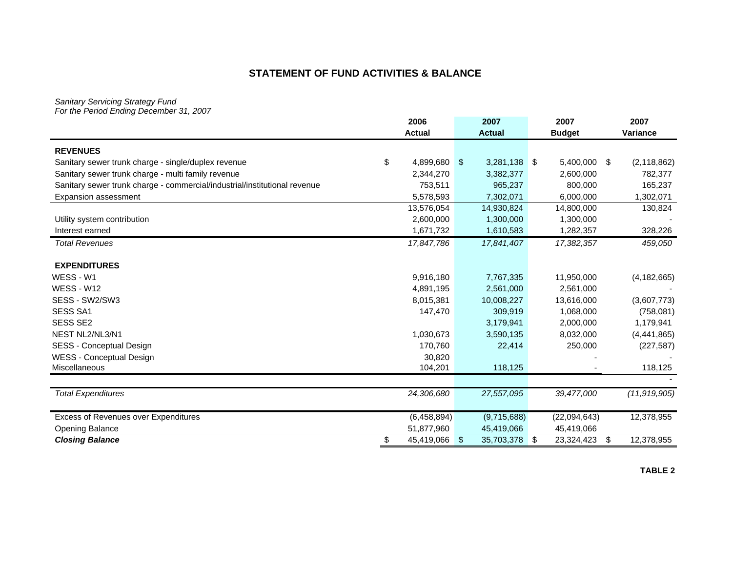### **STATEMENT OF FUND ACTIVITIES & BALANCE**

*Sanitary Servicing Strategy Fund For the Period Ending December 31, 2007*

|                                                                           | 2006               |            | 2007           | 2007          | 2007                |
|---------------------------------------------------------------------------|--------------------|------------|----------------|---------------|---------------------|
|                                                                           | <b>Actual</b>      |            | <b>Actual</b>  | <b>Budget</b> | Variance            |
| <b>REVENUES</b>                                                           |                    |            |                |               |                     |
| Sanitary sewer trunk charge - single/duplex revenue                       | \$<br>4,899,680 \$ |            | $3,281,138$ \$ | 5,400,000     | \$<br>(2, 118, 862) |
| Sanitary sewer trunk charge - multi family revenue                        | 2,344,270          |            | 3,382,377      | 2,600,000     | 782,377             |
| Sanitary sewer trunk charge - commercial/industrial/institutional revenue | 753,511            |            | 965,237        | 800,000       | 165,237             |
| <b>Expansion assessment</b>                                               | 5,578,593          |            | 7,302,071      | 6,000,000     | 1,302,071           |
|                                                                           | 13,576,054         |            | 14,930,824     | 14,800,000    | 130,824             |
| Utility system contribution                                               | 2,600,000          |            | 1,300,000      | 1,300,000     |                     |
| Interest earned                                                           | 1,671,732          |            | 1,610,583      | 1,282,357     | 328,226             |
| <b>Total Revenues</b>                                                     | 17,847,786         |            | 17,841,407     | 17,382,357    | 459,050             |
|                                                                           |                    |            |                |               |                     |
| <b>EXPENDITURES</b>                                                       |                    |            |                |               |                     |
| WESS - W1                                                                 | 9,916,180          |            | 7,767,335      | 11,950,000    | (4, 182, 665)       |
| <b>WESS - W12</b>                                                         | 4,891,195          |            | 2,561,000      | 2,561,000     |                     |
| SESS - SW2/SW3                                                            | 8,015,381          |            | 10,008,227     | 13,616,000    | (3,607,773)         |
| <b>SESS SA1</b>                                                           | 147,470            |            | 309,919        | 1,068,000     | (758,081)           |
| <b>SESS SE2</b>                                                           |                    |            | 3,179,941      | 2,000,000     | 1,179,941           |
| NEST NL2/NL3/N1                                                           | 1,030,673          |            | 3,590,135      | 8,032,000     | (4, 441, 865)       |
| SESS - Conceptual Design                                                  | 170,760            |            | 22,414         | 250,000       | (227, 587)          |
| <b>WESS - Conceptual Design</b>                                           | 30,820             |            |                |               |                     |
| Miscellaneous                                                             | 104,201            |            | 118,125        |               | 118,125             |
|                                                                           |                    |            |                |               |                     |
| <b>Total Expenditures</b>                                                 | 24,306,680         |            | 27,557,095     | 39,477,000    | (11, 919, 905)      |
|                                                                           |                    |            |                |               |                     |
| Excess of Revenues over Expenditures                                      | (6,458,894)        |            | (9,715,688)    | (22,094,643)  | 12,378,955          |
| Opening Balance                                                           | 51,877,960         |            | 45,419,066     | 45,419,066    |                     |
| <b>Closing Balance</b>                                                    | \$<br>45,419,066   | $\sqrt{3}$ | 35,703,378 \$  | 23,324,423    | \$<br>12,378,955    |

**TABLE 2**